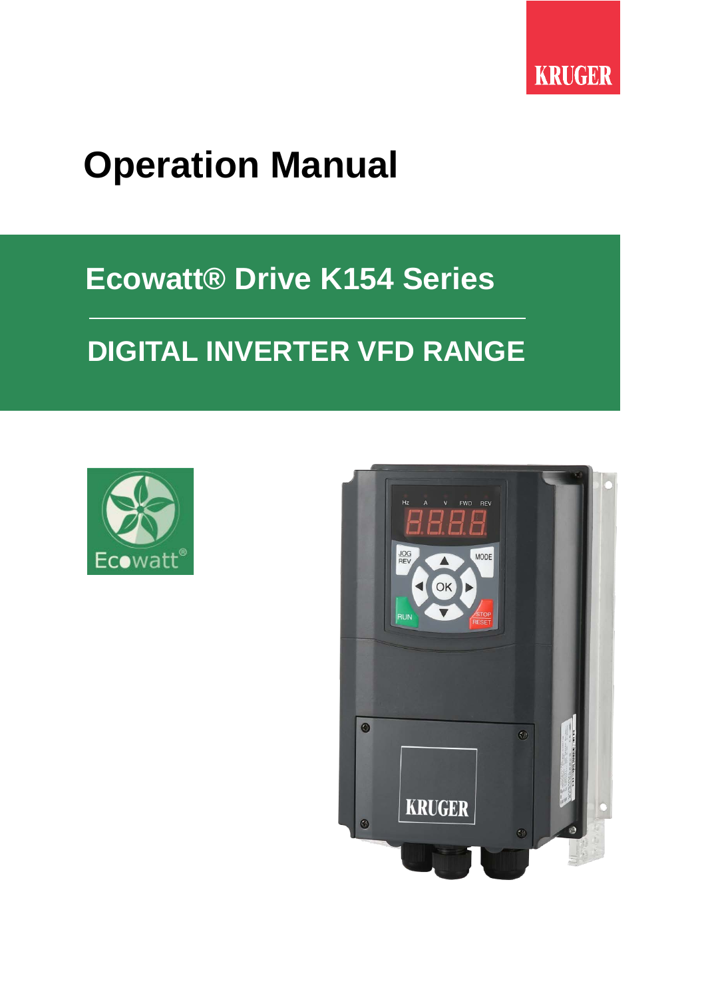

# **Operation Manual**

# **Ecowatt® Drive K154 Series**

# **DIGITAL INVERTER VFD RANGE**



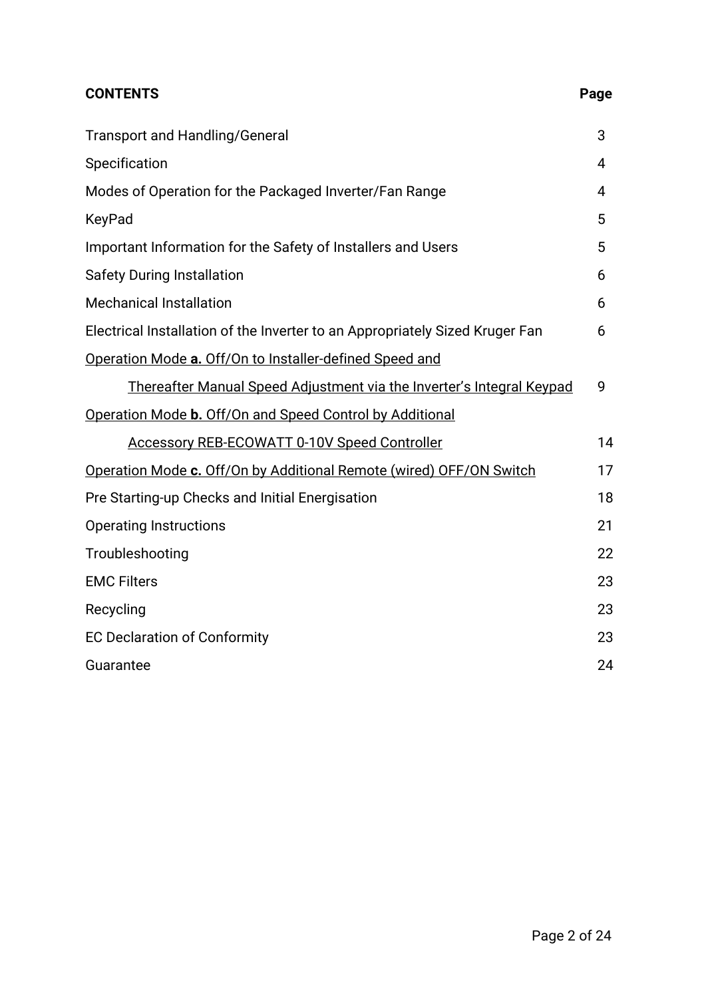## **CONTENTS** Page

| <b>Transport and Handling/General</b>                                        | 3  |
|------------------------------------------------------------------------------|----|
| Specification                                                                | 4  |
| Modes of Operation for the Packaged Inverter/Fan Range                       | 4  |
| KeyPad                                                                       | 5  |
| Important Information for the Safety of Installers and Users                 | 5  |
| <b>Safety During Installation</b>                                            | 6  |
| <b>Mechanical Installation</b>                                               | 6  |
| Electrical Installation of the Inverter to an Appropriately Sized Kruger Fan | 6  |
| Operation Mode a. Off/On to Installer-defined Speed and                      |    |
| <u>Thereafter Manual Speed Adjustment via the Inverter's Integral Keypad</u> | 9  |
| Operation Mode b. Off/On and Speed Control by Additional                     |    |
| <b>Accessory REB-ECOWATT 0-10V Speed Controller</b>                          | 14 |
| Operation Mode c. Off/On by Additional Remote (wired) OFF/ON Switch          | 17 |
| Pre Starting-up Checks and Initial Energisation                              | 18 |
| <b>Operating Instructions</b>                                                | 21 |
| Troubleshooting                                                              | 22 |
| <b>EMC Filters</b>                                                           | 23 |
| Recycling                                                                    | 23 |
| <b>EC Declaration of Conformity</b>                                          | 23 |
| Guarantee                                                                    | 24 |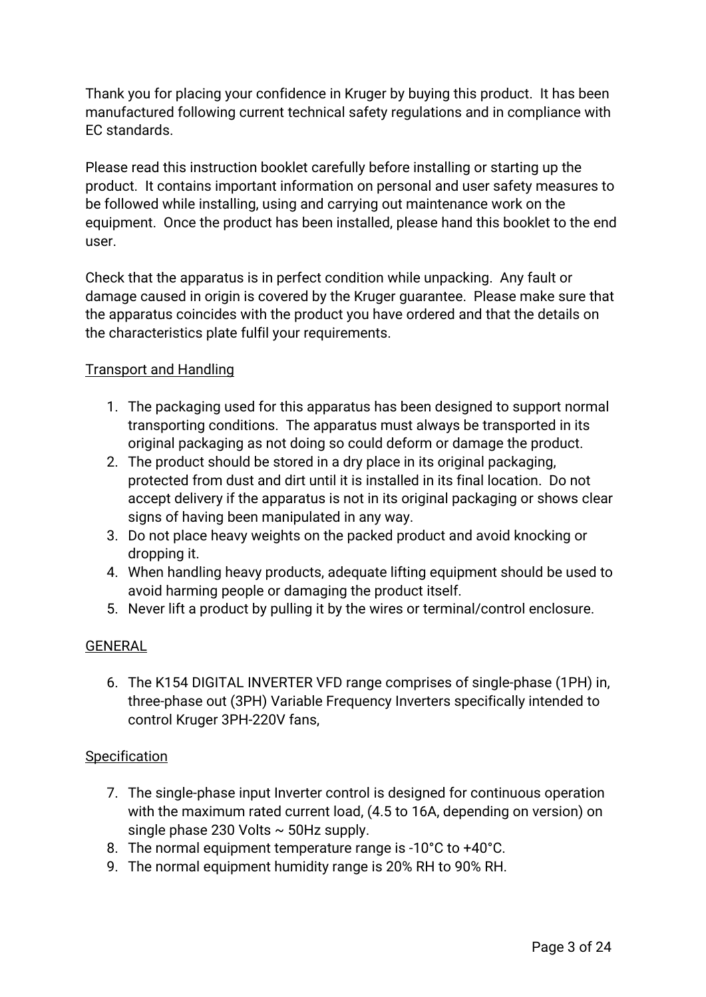Thank you for placing your confidence in Kruger by buying this product. It has been manufactured following current technical safety regulations and in compliance with EC standards.

Please read this instruction booklet carefully before installing or starting up the product. It contains important information on personal and user safety measures to be followed while installing, using and carrying out maintenance work on the equipment. Once the product has been installed, please hand this booklet to the end user.

Check that the apparatus is in perfect condition while unpacking. Any fault or damage caused in origin is covered by the Kruger guarantee. Please make sure that the apparatus coincides with the product you have ordered and that the details on the characteristics plate fulfil your requirements.

## Transport and Handling

- 1. The packaging used for this apparatus has been designed to support normal transporting conditions. The apparatus must always be transported in its original packaging as not doing so could deform or damage the product.
- 2. The product should be stored in a dry place in its original packaging, protected from dust and dirt until it is installed in its final location. Do not accept delivery if the apparatus is not in its original packaging or shows clear signs of having been manipulated in any way.
- 3. Do not place heavy weights on the packed product and avoid knocking or dropping it.
- 4. When handling heavy products, adequate lifting equipment should be used to avoid harming people or damaging the product itself.
- 5. Never lift a product by pulling it by the wires or terminal/control enclosure.

### GENERAL

6. The K154 DIGITAL INVERTER VFD range comprises of single-phase (1PH) in, three-phase out (3PH) Variable Frequency Inverters specifically intended to control Kruger 3PH-220V fans,

### **Specification**

- 7. The single-phase input Inverter control is designed for continuous operation with the maximum rated current load, (4.5 to 16A, depending on version) on single phase 230 Volts  $\sim$  50Hz supply.
- 8. The normal equipment temperature range is -10°C to +40°C.
- 9. The normal equipment humidity range is 20% RH to 90% RH.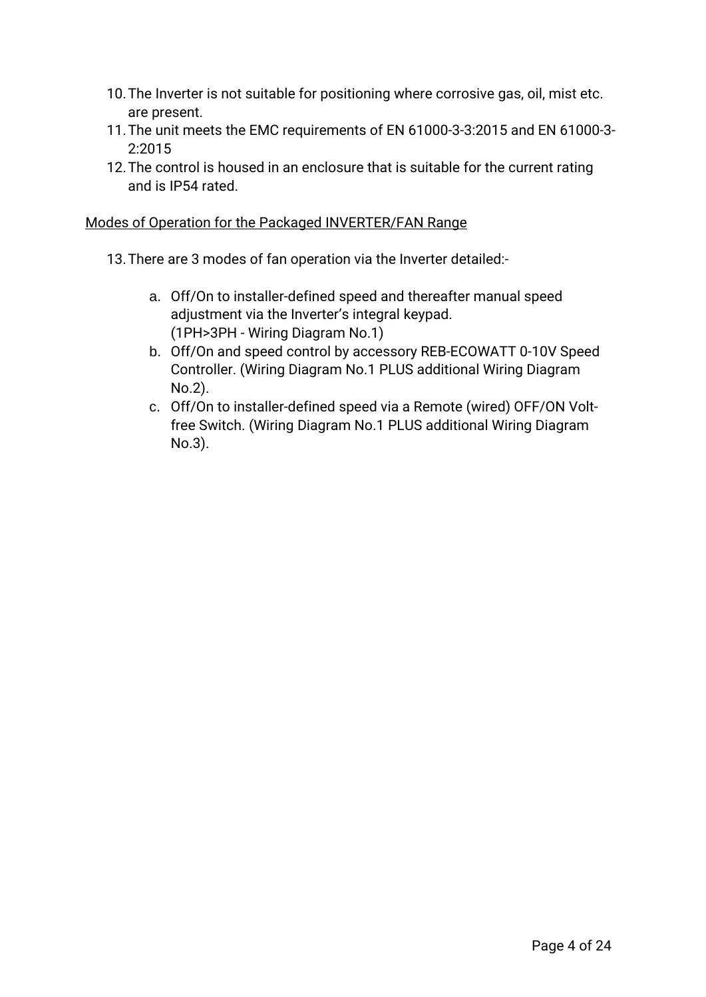- 10.The Inverter is not suitable for positioning where corrosive gas, oil, mist etc. are present.
- 11.The unit meets the EMC requirements of EN 61000-3-3:2015 and EN 61000-3- 2:2015
- 12.The control is housed in an enclosure that is suitable for the current rating and is IP54 rated.

#### Modes of Operation for the Packaged INVERTER/FAN Range

- 13.There are 3 modes of fan operation via the Inverter detailed:
	- a. Off/On to installer-defined speed and thereafter manual speed adjustment via the Inverter's integral keypad. (1PH>3PH - Wiring Diagram No.1)
	- b. Off/On and speed control by accessory REB-ECOWATT 0-10V Speed Controller. (Wiring Diagram No.1 PLUS additional Wiring Diagram No.2).
	- c. Off/On to installer-defined speed via a Remote (wired) OFF/ON Voltfree Switch. (Wiring Diagram No.1 PLUS additional Wiring Diagram No.3).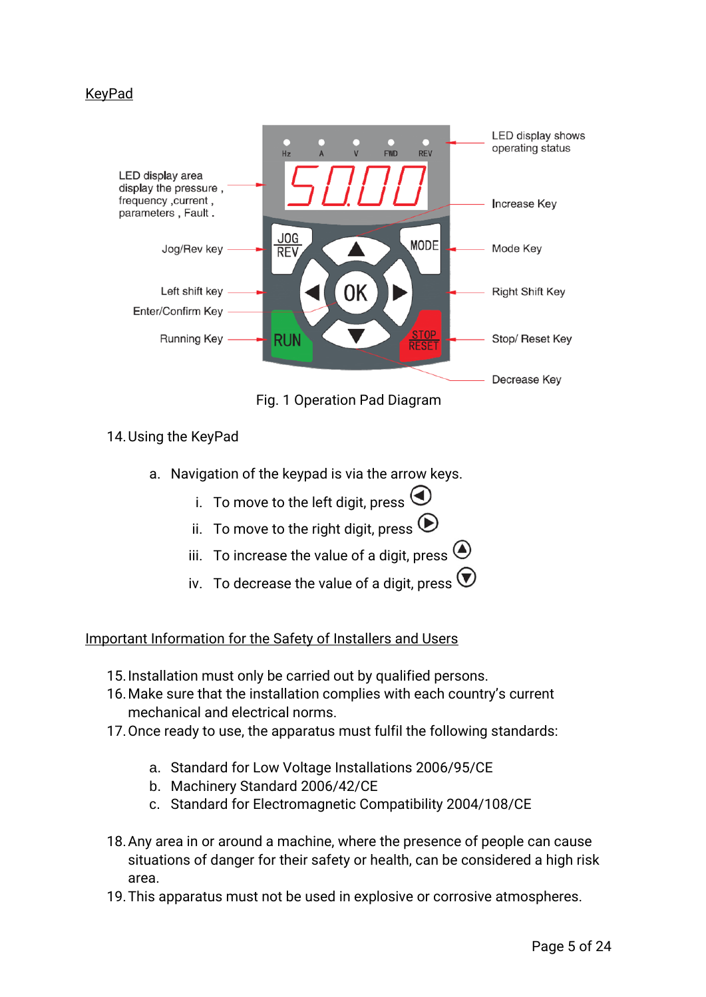### KeyPad



Fig. 1 Operation Pad Diagram

### 14.Using the KeyPad

- a. Navigation of the keypad is via the arrow keys.
	- i. To move to the left digit, press  $\bigodot$
	- ii. To move to the right digit, press  $\odot$
	- iii. To increase the value of a digit, press  $\bigodot$
	- iv. To decrease the value of a digit, press  $\bigcirc$

### Important Information for the Safety of Installers and Users

- 15.Installation must only be carried out by qualified persons.
- 16.Make sure that the installation complies with each country's current mechanical and electrical norms.
- 17.Once ready to use, the apparatus must fulfil the following standards:
	- a. Standard for Low Voltage Installations 2006/95/CE
	- b. Machinery Standard 2006/42/CE
	- c. Standard for Electromagnetic Compatibility 2004/108/CE
- 18.Any area in or around a machine, where the presence of people can cause situations of danger for their safety or health, can be considered a high risk area.
- 19.This apparatus must not be used in explosive or corrosive atmospheres.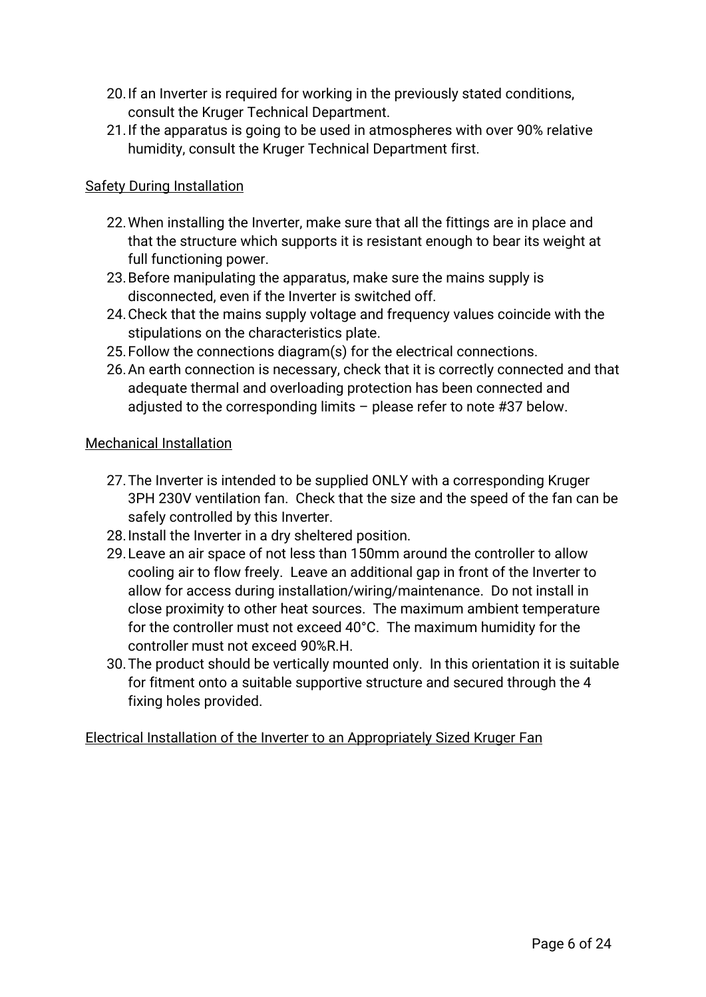- 20.If an Inverter is required for working in the previously stated conditions, consult the Kruger Technical Department.
- 21.If the apparatus is going to be used in atmospheres with over 90% relative humidity, consult the Kruger Technical Department first.

## Safety During Installation

- 22.When installing the Inverter, make sure that all the fittings are in place and that the structure which supports it is resistant enough to bear its weight at full functioning power.
- 23.Before manipulating the apparatus, make sure the mains supply is disconnected, even if the Inverter is switched off.
- 24.Check that the mains supply voltage and frequency values coincide with the stipulations on the characteristics plate.
- 25.Follow the connections diagram(s) for the electrical connections.
- 26.An earth connection is necessary, check that it is correctly connected and that adequate thermal and overloading protection has been connected and adjusted to the corresponding limits – please refer to note #37 below.

#### Mechanical Installation

- 27.The Inverter is intended to be supplied ONLY with a corresponding Kruger 3PH 230V ventilation fan. Check that the size and the speed of the fan can be safely controlled by this Inverter.
- 28.Install the Inverter in a dry sheltered position.
- 29.Leave an air space of not less than 150mm around the controller to allow cooling air to flow freely. Leave an additional gap in front of the Inverter to allow for access during installation/wiring/maintenance. Do not install in close proximity to other heat sources. The maximum ambient temperature for the controller must not exceed 40°C. The maximum humidity for the controller must not exceed 90%R.H.
- 30.The product should be vertically mounted only. In this orientation it is suitable for fitment onto a suitable supportive structure and secured through the 4 fixing holes provided.

### Electrical Installation of the Inverter to an Appropriately Sized Kruger Fan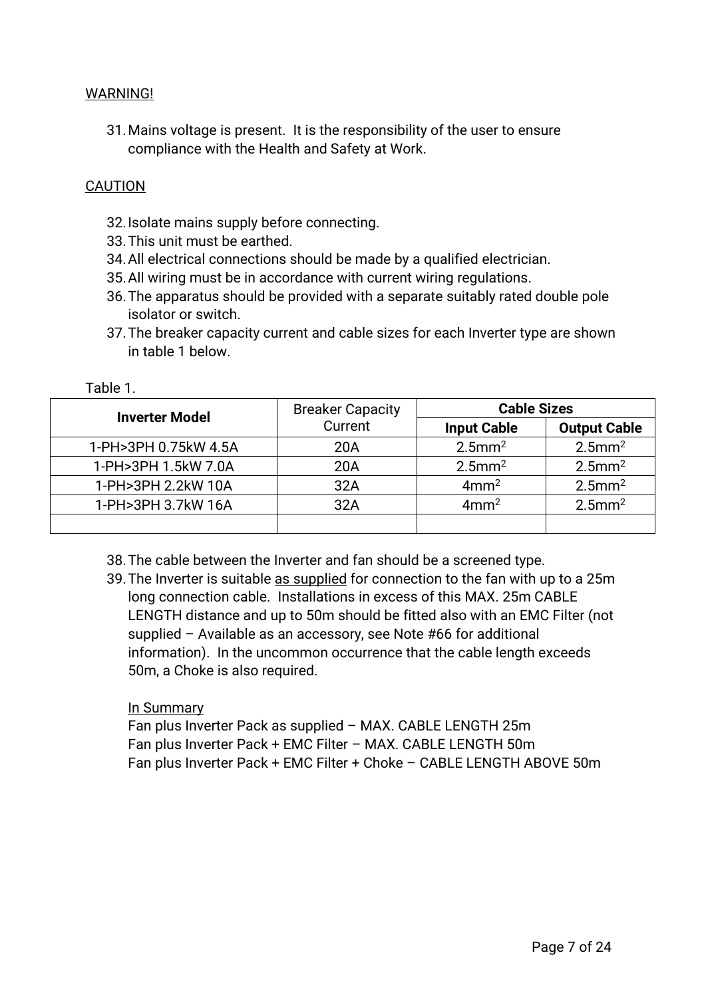#### WARNING!

31.Mains voltage is present. It is the responsibility of the user to ensure compliance with the Health and Safety at Work.

#### **CAUTION**

- 32.Isolate mains supply before connecting.
- 33.This unit must be earthed.
- 34.All electrical connections should be made by a qualified electrician.
- 35.All wiring must be in accordance with current wiring regulations.
- 36.The apparatus should be provided with a separate suitably rated double pole isolator or switch.
- 37.The breaker capacity current and cable sizes for each Inverter type are shown in table 1 below.

Table 1.

| <b>Inverter Model</b> | <b>Breaker Capacity</b> | <b>Cable Sizes</b>    |                       |  |
|-----------------------|-------------------------|-----------------------|-----------------------|--|
|                       | Current                 | <b>Input Cable</b>    | <b>Output Cable</b>   |  |
| 1-PH>3PH 0.75kW 4.5A  | 20A                     | $2.5$ mm <sup>2</sup> | $2.5$ mm <sup>2</sup> |  |
| 1-PH>3PH 1.5kW 7.0A   | 20A                     | $2.5$ mm <sup>2</sup> | $2.5$ mm <sup>2</sup> |  |
| 1-PH>3PH 2.2kW 10A    | 32A                     | 4mm <sup>2</sup>      | $2.5$ mm <sup>2</sup> |  |
| 1-PH>3PH 3.7kW 16A    | 32A                     | 4mm <sup>2</sup>      | $2.5$ mm <sup>2</sup> |  |
|                       |                         |                       |                       |  |

- 38.The cable between the Inverter and fan should be a screened type.
- 39.The Inverter is suitable as supplied for connection to the fan with up to a 25m long connection cable. Installations in excess of this MAX. 25m CABLE LENGTH distance and up to 50m should be fitted also with an EMC Filter (not supplied – Available as an accessory, see Note #66 for additional information). In the uncommon occurrence that the cable length exceeds 50m, a Choke is also required.

#### In Summary

Fan plus Inverter Pack as supplied – MAX. CABLE LENGTH 25m Fan plus Inverter Pack + EMC Filter – MAX. CABLE LENGTH 50m Fan plus Inverter Pack + EMC Filter + Choke – CABLE LENGTH ABOVE 50m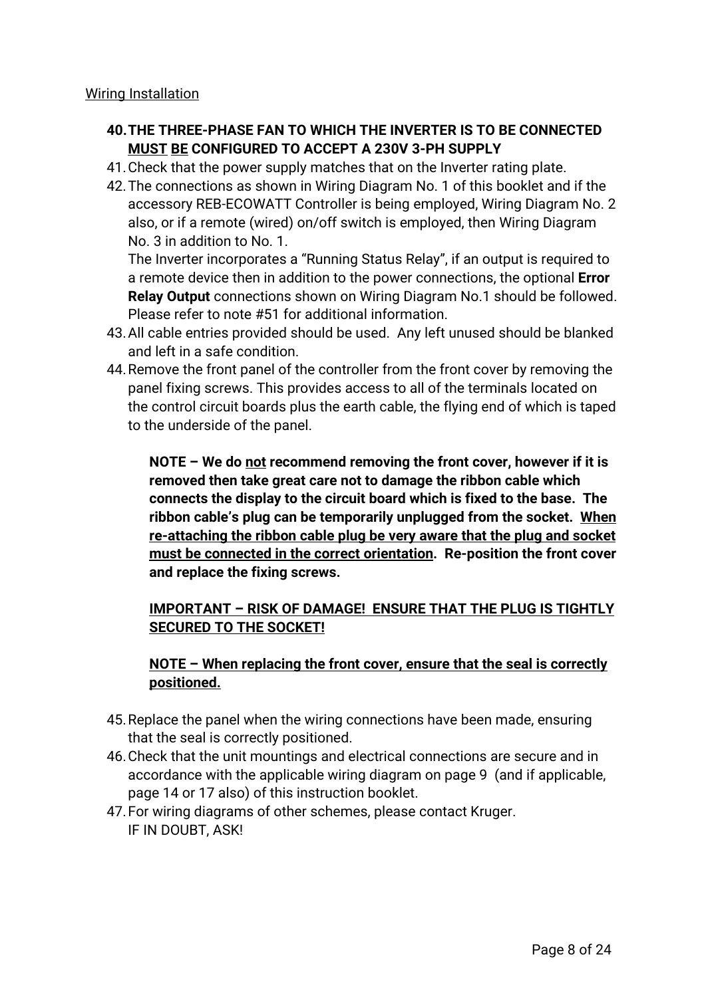Wiring Installation

### **40.THE THREE-PHASE FAN TO WHICH THE INVERTER IS TO BE CONNECTED MUST BE CONFIGURED TO ACCEPT A 230V 3-PH SUPPLY**

- 41.Check that the power supply matches that on the Inverter rating plate.
- 42.The connections as shown in Wiring Diagram No. 1 of this booklet and if the accessory REB-ECOWATT Controller is being employed, Wiring Diagram No. 2 also, or if a remote (wired) on/off switch is employed, then Wiring Diagram No. 3 in addition to No. 1.

The Inverter incorporates a "Running Status Relay", if an output is required to a remote device then in addition to the power connections, the optional **Error Relay Output** connections shown on Wiring Diagram No.1 should be followed. Please refer to note #51 for additional information.

- 43.All cable entries provided should be used. Any left unused should be blanked and left in a safe condition.
- 44.Remove the front panel of the controller from the front cover by removing the panel fixing screws. This provides access to all of the terminals located on the control circuit boards plus the earth cable, the flying end of which is taped to the underside of the panel.

**NOTE – We do not recommend removing the front cover, however if it is removed then take great care not to damage the ribbon cable which connects the display to the circuit board which is fixed to the base. The ribbon cable's plug can be temporarily unplugged from the socket. When re-attaching the ribbon cable plug be very aware that the plug and socket must be connected in the correct orientation. Re-position the front cover and replace the fixing screws.**

## **IMPORTANT – RISK OF DAMAGE! ENSURE THAT THE PLUG IS TIGHTLY SECURED TO THE SOCKET!**

## **NOTE – When replacing the front cover, ensure that the seal is correctly positioned.**

- 45.Replace the panel when the wiring connections have been made, ensuring that the seal is correctly positioned.
- 46.Check that the unit mountings and electrical connections are secure and in accordance with the applicable wiring diagram on page 9 (and if applicable, page 14 or 17 also) of this instruction booklet.
- 47.For wiring diagrams of other schemes, please contact Kruger. IF IN DOUBT, ASK!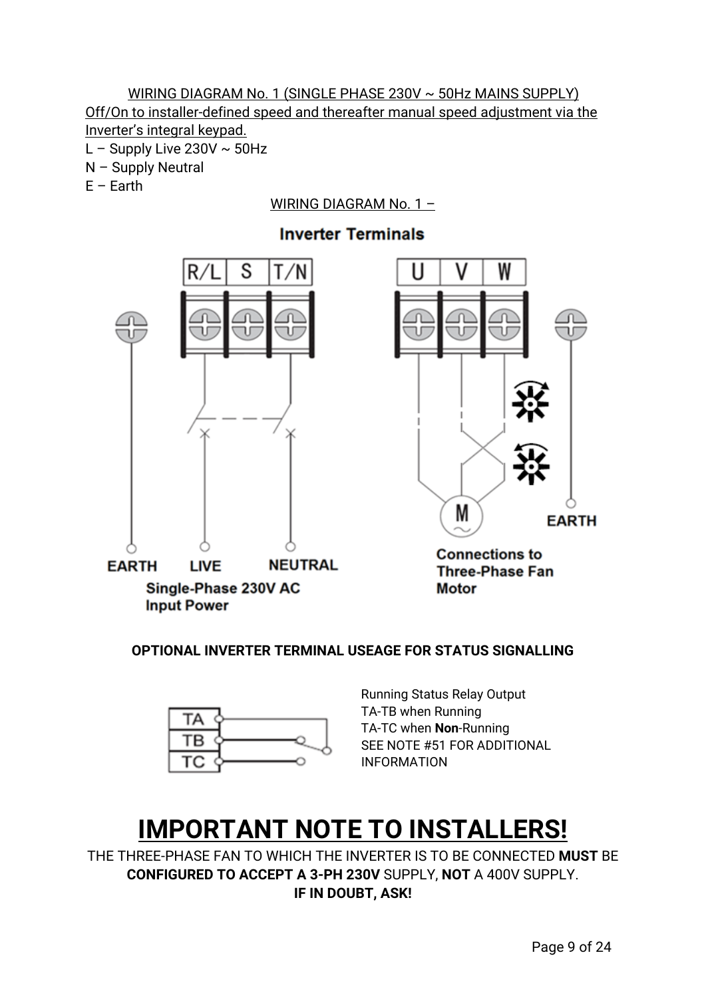## WIRING DIAGRAM No. 1 (SINGLE PHASE 230V ~ 50Hz MAINS SUPPLY) Off/On to installer-defined speed and thereafter manual speed adjustment via the Inverter's integral keypad.

- L Supply Live 230V  $\sim$  50Hz
- N Supply Neutral
- $E -$ Earth

## WIRING DIAGRAM No. 1 –



Single-Phase 230V AC **Input Power** 

W U V М **EARTH Connections to Three-Phase Fan** 

**OPTIONAL INVERTER TERMINAL USEAGE FOR STATUS SIGNALLING**



Running Status Relay Output TA-TB when Running TA-TC when **Non**-Running SEE NOTE #51 FOR ADDITIONAL INFORMATION

**Motor** 

## **IMPORTANT NOTE TO INSTALLERS!**

THE THREE-PHASE FAN TO WHICH THE INVERTER IS TO BE CONNECTED **MUST** BE **CONFIGURED TO ACCEPT A 3-PH 230V** SUPPLY, **NOT** A 400V SUPPLY. **IF IN DOUBT, ASK!**

# **Inverter Terminals**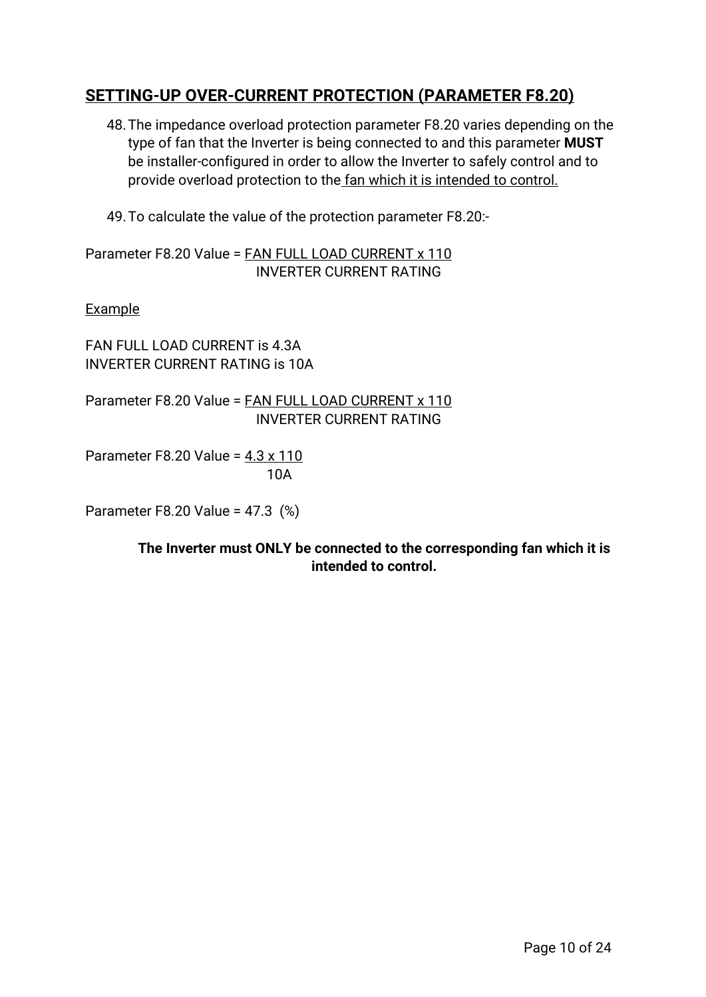## **SETTING-UP OVER-CURRENT PROTECTION (PARAMETER F8.20)**

- 48.The impedance overload protection parameter F8.20 varies depending on the type of fan that the Inverter is being connected to and this parameter **MUST** be installer-configured in order to allow the Inverter to safely control and to provide overload protection to the fan which it is intended to control.
- 49.To calculate the value of the protection parameter F8.20:-

Parameter F8.20 Value = FAN FULL LOAD CURRENT x 110 INVERTER CURRENT RATING

Example

FAN FULL LOAD CURRENT is 4.3A INVERTER CURRENT RATING is 10A

Parameter F8.20 Value = FAN FULL LOAD CURRENT x 110 INVERTER CURRENT RATING

Parameter F8.20 Value = 4.3 x 110 10A

Parameter F8.20 Value = 47.3 (%)

**The Inverter must ONLY be connected to the corresponding fan which it is intended to control.**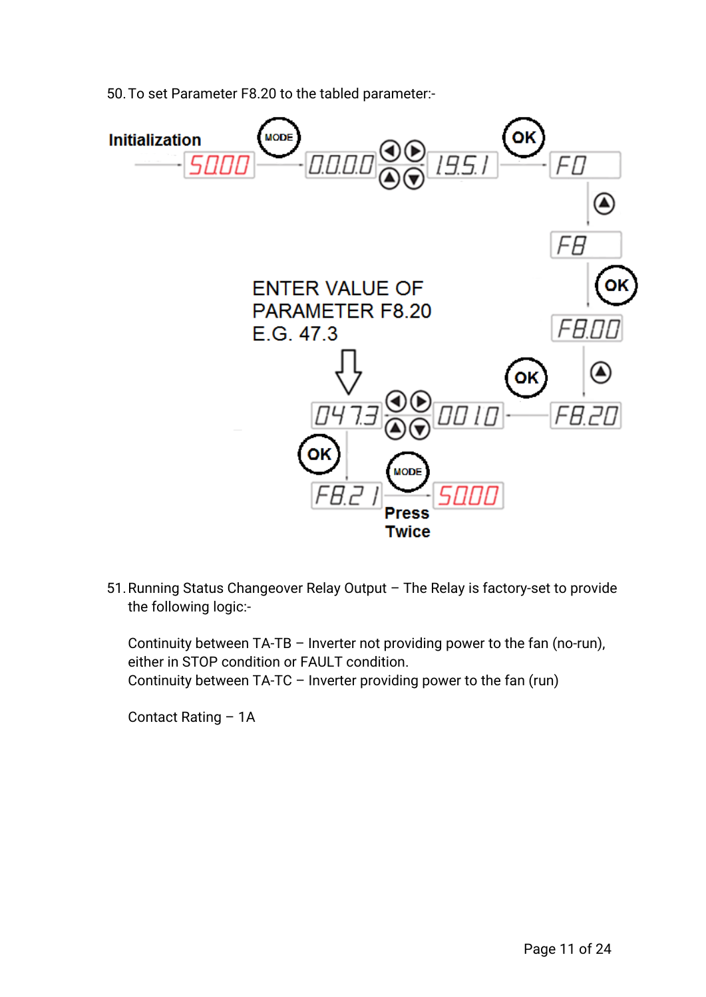50.To set Parameter F8.20 to the tabled parameter:-



51.Running Status Changeover Relay Output – The Relay is factory-set to provide the following logic:-

Continuity between TA-TB – Inverter not providing power to the fan (no-run), either in STOP condition or FAULT condition. Continuity between TA-TC – Inverter providing power to the fan (run)

Contact Rating – 1A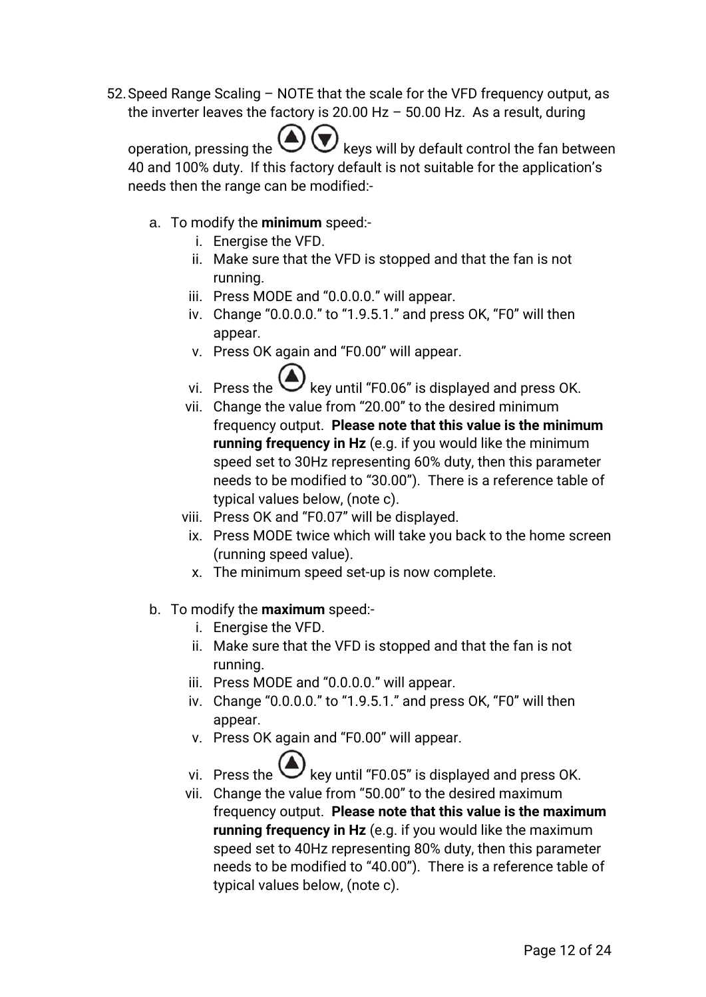52.Speed Range Scaling – NOTE that the scale for the VFD frequency output, as the inverter leaves the factory is 20.00 Hz  $-$  50.00 Hz. As a result, during

operation, pressing the  $\bigcup \bigcup$  keys will by default control the fan between 40 and 100% duty. If this factory default is not suitable for the application's needs then the range can be modified:-

- a. To modify the **minimum** speed:
	- i. Energise the VFD.
	- ii. Make sure that the VFD is stopped and that the fan is not running.
	- iii. Press MODE and "0.0.0.0." will appear.
	- iv. Change "0.0.0.0." to "1.9.5.1." and press OK, "F0" will then appear.
	- v. Press OK again and "F0.00" will appear.
	- vi. Press the  $\bigcup$  key until "F0.06" is displayed and press OK.
	- vii. Change the value from "20.00" to the desired minimum frequency output. **Please note that this value is the minimum running frequency in Hz** (e.g. if you would like the minimum speed set to 30Hz representing 60% duty, then this parameter needs to be modified to "30.00"). There is a reference table of typical values below, (note c).
	- viii. Press OK and "F0.07" will be displayed.
	- ix. Press MODE twice which will take you back to the home screen (running speed value).
	- x. The minimum speed set-up is now complete.
- b. To modify the **maximum** speed:
	- i. Energise the VFD.
	- ii. Make sure that the VFD is stopped and that the fan is not running.
	- iii. Press MODE and "0.0.0.0." will appear.
	- iv. Change "0.0.0.0." to "1.9.5.1." and press OK, "F0" will then appear.
	- v. Press OK again and "F0.00" will appear.
	- vi. Press the  $\bigcup$  key until "F0.05" is displayed and press OK.
	- vii. Change the value from "50.00" to the desired maximum frequency output. **Please note that this value is the maximum running frequency in Hz** (e.g. if you would like the maximum speed set to 40Hz representing 80% duty, then this parameter needs to be modified to "40.00"). There is a reference table of typical values below, (note c).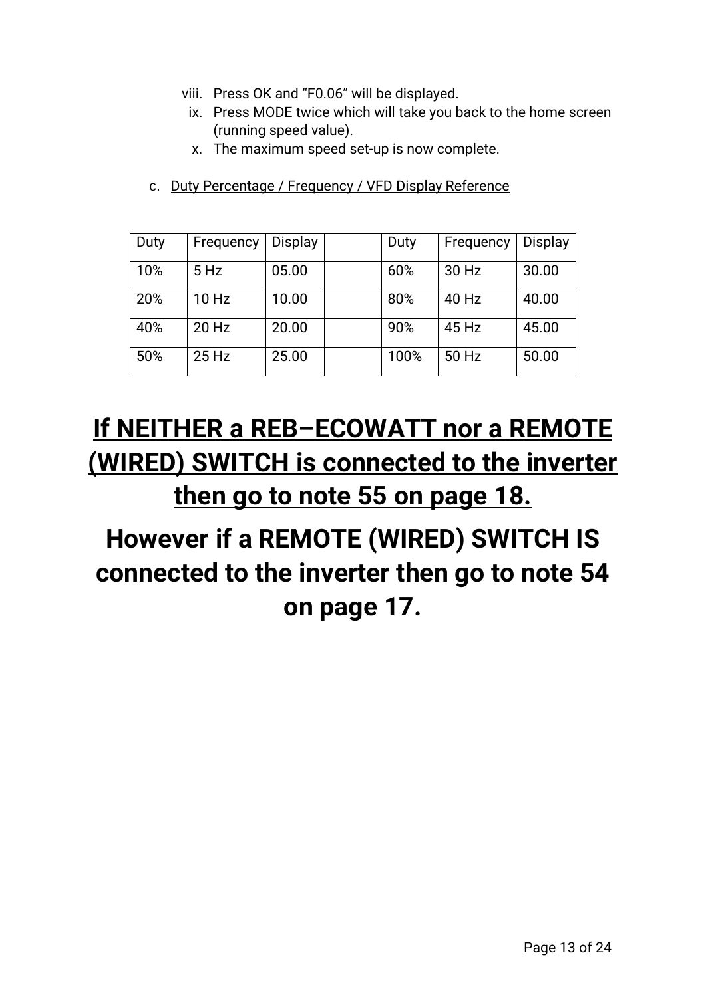- viii. Press OK and "F0.06" will be displayed.
- ix. Press MODE twice which will take you back to the home screen (running speed value).
- x. The maximum speed set-up is now complete.
- c. Duty Percentage / Frequency / VFD Display Reference

| Duty | Frequency | Display | Duty | Frequency | <b>Display</b> |
|------|-----------|---------|------|-----------|----------------|
| 10%  | $5$ Hz    | 05.00   | 60%  | 30 Hz     | 30.00          |
| 20%  | $10$ Hz   | 10.00   | 80%  | 40 Hz     | 40.00          |
| 40%  | 20 Hz     | 20.00   | 90%  | 45 Hz     | 45.00          |
| 50%  | $25$ Hz   | 25.00   | 100% | 50 Hz     | 50.00          |

## **If NEITHER a REB–ECOWATT nor a REMOTE (WIRED) SWITCH is connected to the inverter then go to note 55 on page 18.**

# **However if a REMOTE (WIRED) SWITCH IS connected to the inverter then go to note 54 on page 17.**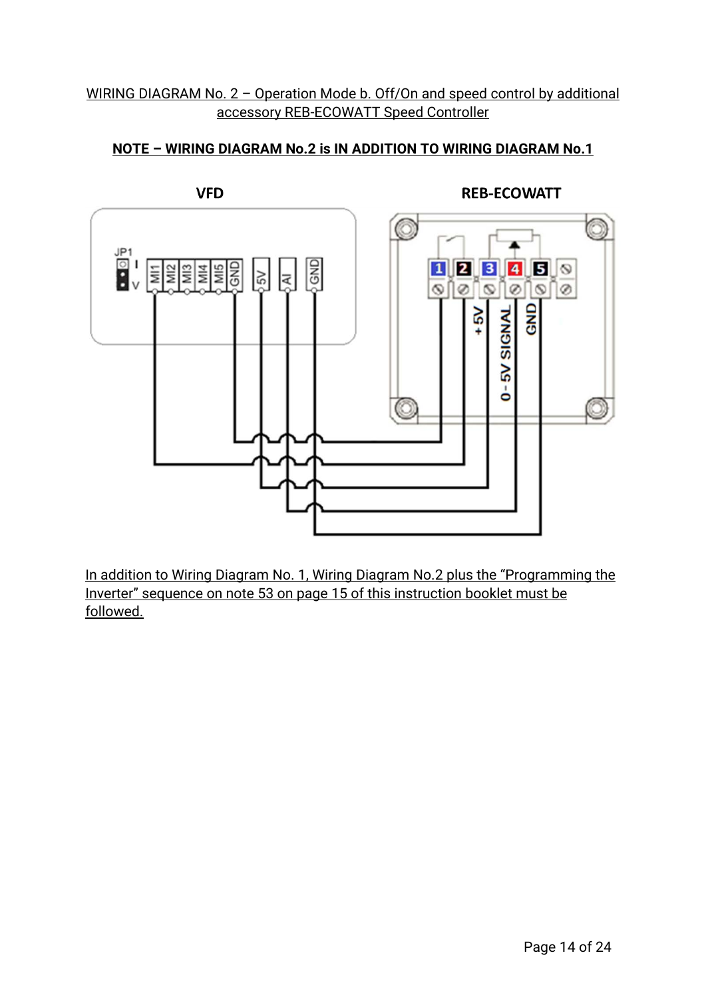### WIRING DIAGRAM No. 2 - Operation Mode b. Off/On and speed control by additional accessory REB-ECOWATT Speed Controller

## **NOTE – WIRING DIAGRAM No.2 is IN ADDITION TO WIRING DIAGRAM No.1**



In addition to Wiring Diagram No. 1, Wiring Diagram No.2 plus the "Programming the Inverter" sequence on note 53 on page 15 of this instruction booklet must be followed.

## **REB-ECOWATT**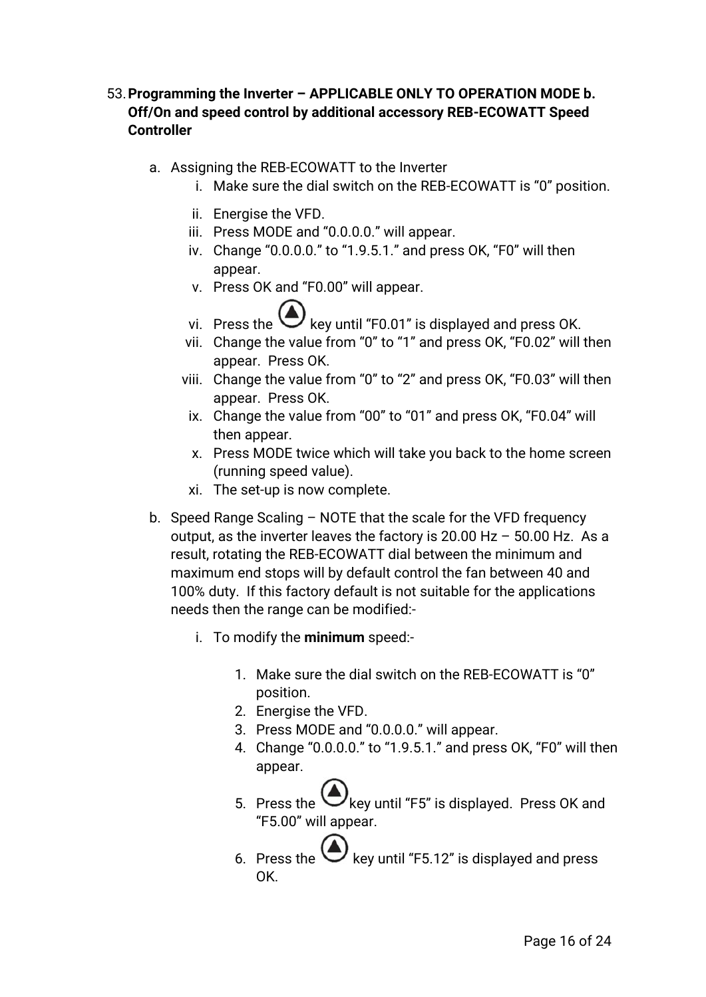## 53.**Programming the Inverter – APPLICABLE ONLY TO OPERATION MODE b. Off/On and speed control by additional accessory REB-ECOWATT Speed Controller**

- a. Assigning the REB-ECOWATT to the Inverter
	- i. Make sure the dial switch on the REB-ECOWATT is "0" position.
	- ii. Energise the VFD.
	- iii. Press MODE and "0.0.0.0." will appear.
	- iv. Change "0.0.0.0." to "1.9.5.1." and press OK, "F0" will then appear.
	- v. Press OK and "F0.00" will appear.
	- vi. Press the  $\bigodot$  key until "F0.01" is displayed and press OK.
	- vii. Change the value from "0" to "1" and press OK, "F0.02" will then appear. Press OK.
	- viii. Change the value from "0" to "2" and press OK, "F0.03" will then appear. Press OK.
		- ix. Change the value from "00" to "01" and press OK, "F0.04" will then appear.
		- x. Press MODE twice which will take you back to the home screen (running speed value).
		- xi. The set-up is now complete.
- b. Speed Range Scaling NOTE that the scale for the VFD frequency output, as the inverter leaves the factory is 20.00 Hz – 50.00 Hz. As a result, rotating the REB-ECOWATT dial between the minimum and maximum end stops will by default control the fan between 40 and 100% duty. If this factory default is not suitable for the applications needs then the range can be modified:
	- i. To modify the **minimum** speed:-
		- 1. Make sure the dial switch on the REB-ECOWATT is "0" position.
		- 2. Energise the VFD.
		- 3. Press MODE and "0.0.0.0." will appear.
		- 4. Change "0.0.0.0." to "1.9.5.1." and press OK, "F0" will then appear.
		- 5. Press the Wkey until "F5" is displayed. Press OK and "F5.00" will appear.
		- 6. Press the  $\bigodot$  key until "F5.12" is displayed and press OK.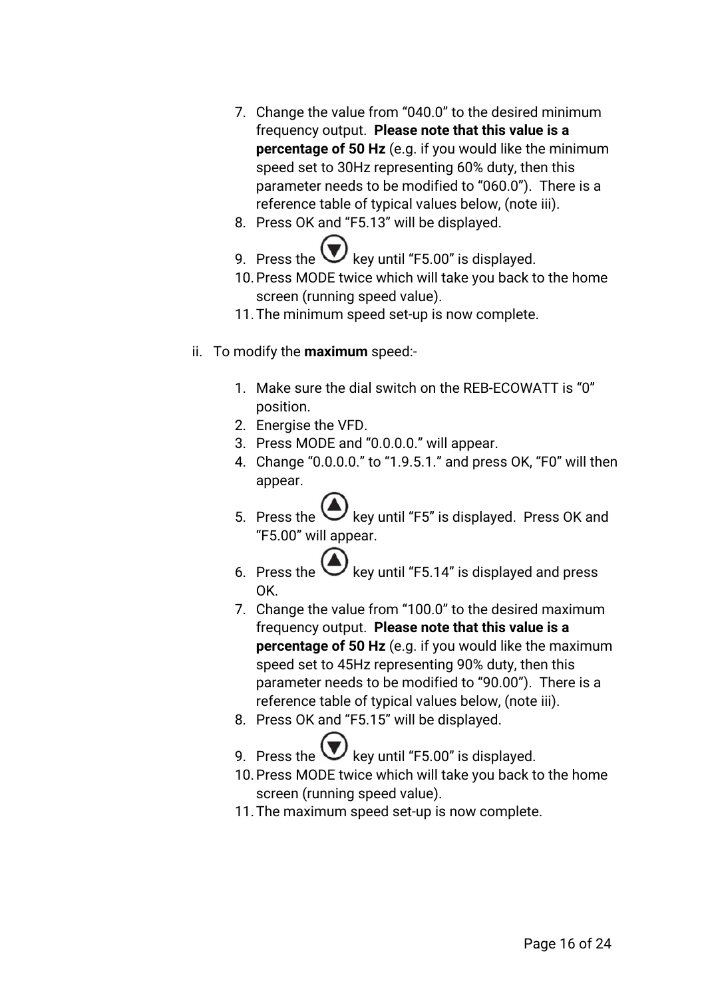- 7. Change the value from "040.0" to the desired minimum frequency output. **Please note that this value is a percentage of 50 Hz** (e.g. if you would like the minimum speed set to 30Hz representing 60% duty, then this parameter needs to be modified to "060.0"). There is a reference table of typical values below, (note iii).
- 8. Press OK and "F5.13" will be displayed.
- 9. Press the  $\bigcup$  key until "F5.00" is displayed.
- 10.Press MODE twice which will take you back to the home screen (running speed value).
- 11.The minimum speed set-up is now complete.
- ii. To modify the **maximum** speed:-
	- 1. Make sure the dial switch on the REB-ECOWATT is "0" position.
	- 2. Energise the VFD.
	- 3. Press MODE and "0.0.0.0." will appear.
	- 4. Change "0.0.0.0." to "1.9.5.1." and press OK, "F0" will then appear.
	- 5. Press the  $\bigcup$  key until "F5" is displayed. Press OK and "F5.00" will appear.
	- 6. Press the  $\bigcup$  key until "F5.14" is displayed and press OK.
	- 7. Change the value from "100.0" to the desired maximum frequency output. **Please note that this value is a percentage of 50 Hz** (e.g. if you would like the maximum speed set to 45Hz representing 90% duty, then this parameter needs to be modified to "90.00"). There is a reference table of typical values below, (note iii).
	- 8. Press OK and "F5.15" will be displayed.
	- 9. Press the  $\vee$  key until "F5.00" is displayed.
	- 10.Press MODE twice which will take you back to the home screen (running speed value).
	- 11.The maximum speed set-up is now complete.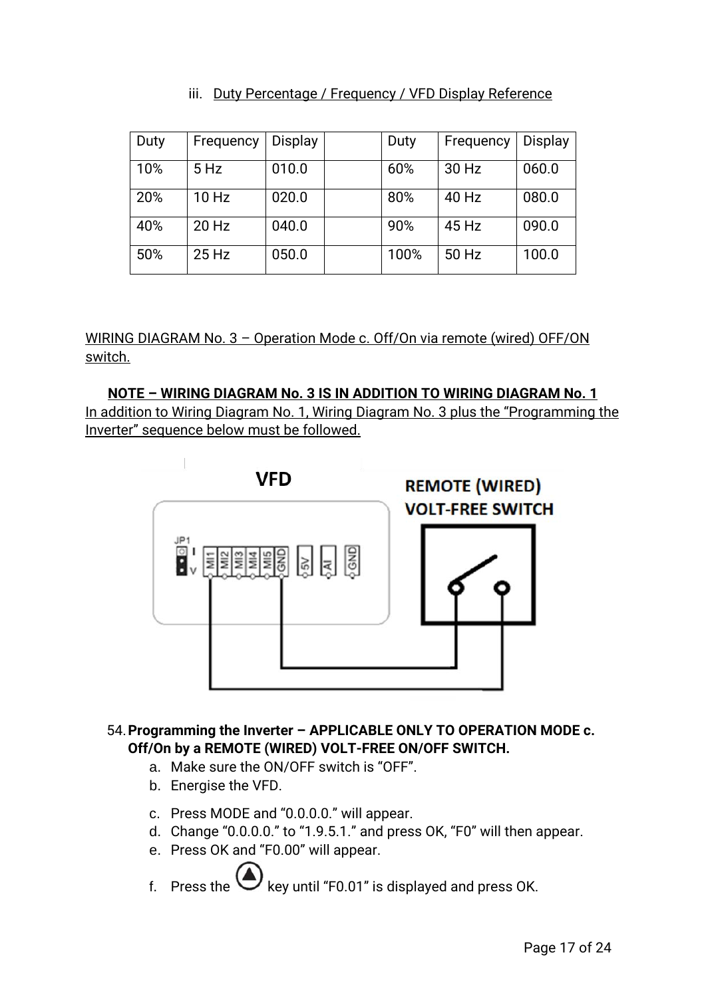### iii. Duty Percentage / Frequency / VFD Display Reference

| Duty | Frequency | Display | Duty | Frequency | <b>Display</b> |
|------|-----------|---------|------|-----------|----------------|
| 10%  | $5$ Hz    | 010.0   | 60%  | 30 Hz     | 060.0          |
| 20%  | 10 Hz     | 020.0   | 80%  | 40 Hz     | 080.0          |
| 40%  | 20 Hz     | 040.0   | 90%  | 45 Hz     | 090.0          |
| 50%  | $25$ Hz   | 050.0   | 100% | 50 Hz     | 100.0          |

WIRING DIAGRAM No. 3 – Operation Mode c. Off/On via remote (wired) OFF/ON switch.

**NOTE – WIRING DIAGRAM No. 3 IS IN ADDITION TO WIRING DIAGRAM No. 1** In addition to Wiring Diagram No. 1, Wiring Diagram No. 3 plus the "Programming the Inverter" sequence below must be followed.



### 54.**Programming the Inverter – APPLICABLE ONLY TO OPERATION MODE c. Off/On by a REMOTE (WIRED) VOLT-FREE ON/OFF SWITCH.**

- a. Make sure the ON/OFF switch is "OFF".
- b. Energise the VFD.
- c. Press MODE and "0.0.0.0." will appear.
- d. Change "0.0.0.0." to "1.9.5.1." and press OK, "F0" will then appear.
- e. Press OK and "F0.00" will appear.
- f. Press the  $\bigcup$  key until "F0.01" is displayed and press OK.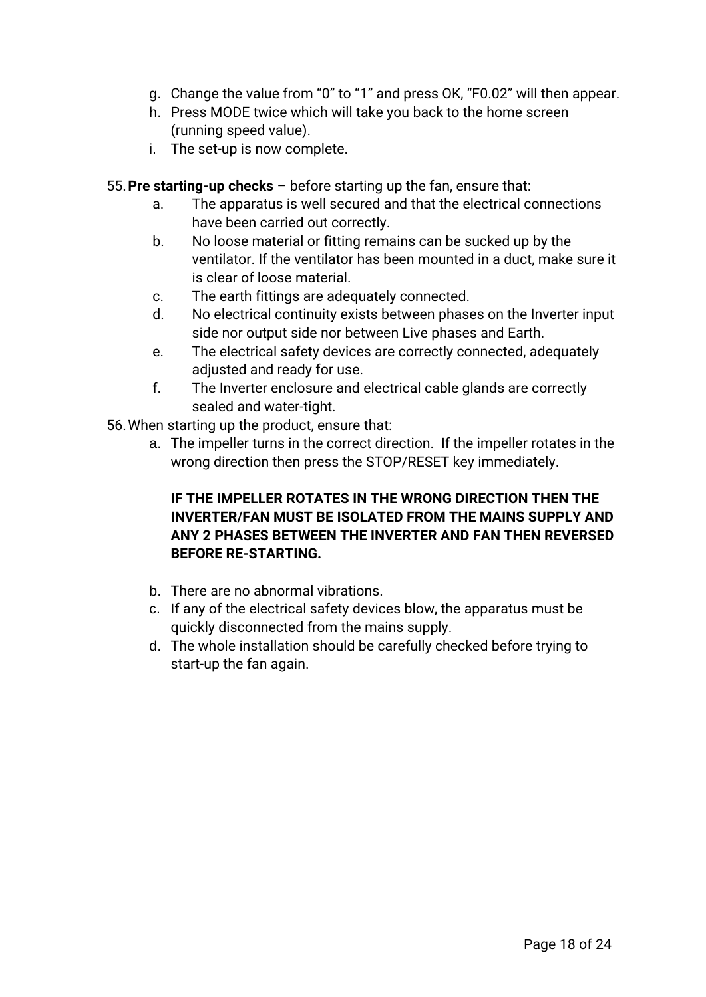- g. Change the value from "0" to "1" and press OK, "F0.02" will then appear.
- h. Press MODE twice which will take you back to the home screen (running speed value).
- i. The set-up is now complete.
- 55.**Pre starting-up checks** before starting up the fan, ensure that:
	- a. The apparatus is well secured and that the electrical connections have been carried out correctly.
	- b. No loose material or fitting remains can be sucked up by the ventilator. If the ventilator has been mounted in a duct, make sure it is clear of loose material.
	- c. The earth fittings are adequately connected.
	- d. No electrical continuity exists between phases on the Inverter input side nor output side nor between Live phases and Earth.
	- e. The electrical safety devices are correctly connected, adequately adjusted and ready for use.
	- f. The Inverter enclosure and electrical cable glands are correctly sealed and water-tight.
- 56.When starting up the product, ensure that:
	- a. The impeller turns in the correct direction. If the impeller rotates in the wrong direction then press the STOP/RESET key immediately.

## **IF THE IMPELLER ROTATES IN THE WRONG DIRECTION THEN THE INVERTER/FAN MUST BE ISOLATED FROM THE MAINS SUPPLY AND ANY 2 PHASES BETWEEN THE INVERTER AND FAN THEN REVERSED BEFORE RE-STARTING.**

- b. There are no abnormal vibrations.
- c. If any of the electrical safety devices blow, the apparatus must be quickly disconnected from the mains supply.
- d. The whole installation should be carefully checked before trying to start-up the fan again.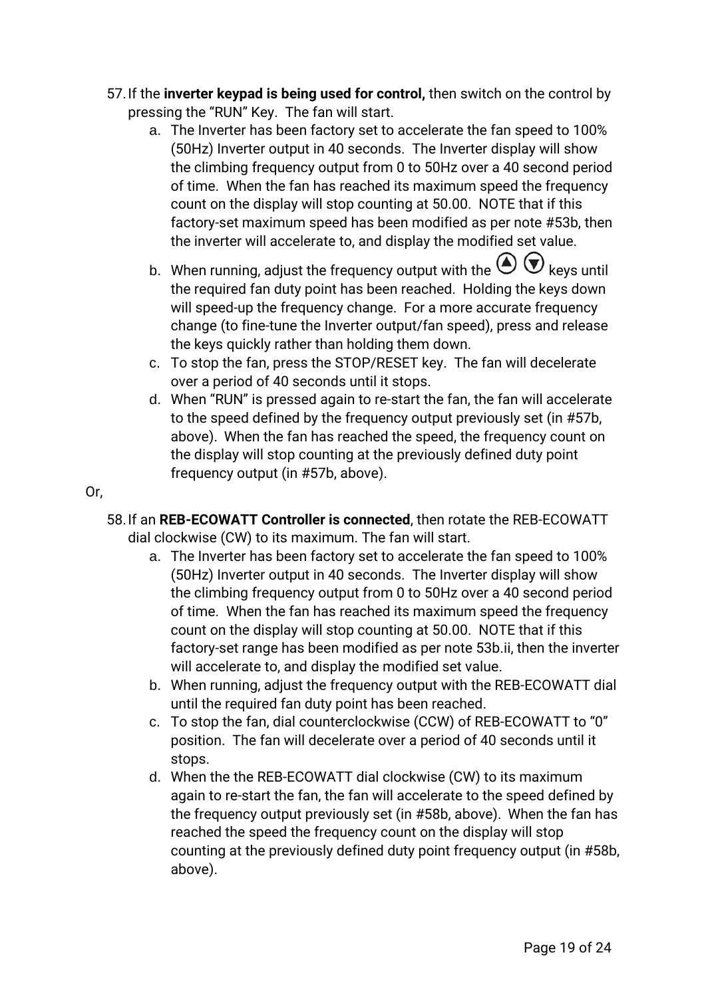- 57.If the **inverter keypad is being used for control,** then switch on the control by pressing the "RUN" Key. The fan will start.
	- a. The Inverter has been factory set to accelerate the fan speed to 100% (50Hz) Inverter output in 40 seconds. The Inverter display will show the climbing frequency output from 0 to 50Hz over a 40 second period of time. When the fan has reached its maximum speed the frequency count on the display will stop counting at 50.00. NOTE that if this factory-set maximum speed has been modified as per note #53b, then the inverter will accelerate to, and display the modified set value.
	- b. When running, adjust the frequency output with the  $\bigoplus_{k \in \mathbb{N}} \mathbb{C}$  keys until the required fan duty point has been reached. Holding the keys down will speed-up the frequency change. For a more accurate frequency change (to fine-tune the Inverter output/fan speed), press and release the keys quickly rather than holding them down.
	- c. To stop the fan, press the STOP/RESET key. The fan will decelerate over a period of 40 seconds until it stops.
	- d. When "RUN" is pressed again to re-start the fan, the fan will accelerate to the speed defined by the frequency output previously set (in #57b, above). When the fan has reached the speed, the frequency count on the display will stop counting at the previously defined duty point frequency output (in #57b, above).

## Or,

- 58.If an **REB-ECOWATT Controller is connected**, then rotate the REB-ECOWATT dial clockwise (CW) to its maximum. The fan will start.
	- a. The Inverter has been factory set to accelerate the fan speed to 100% (50Hz) Inverter output in 40 seconds. The Inverter display will show the climbing frequency output from 0 to 50Hz over a 40 second period of time. When the fan has reached its maximum speed the frequency count on the display will stop counting at 50.00. NOTE that if this factory-set range has been modified as per note 53b.ii, then the inverter will accelerate to, and display the modified set value.
	- b. When running, adjust the frequency output with the REB-ECOWATT dial until the required fan duty point has been reached.
	- c. To stop the fan, dial counterclockwise (CCW) of REB-ECOWATT to "0" position. The fan will decelerate over a period of 40 seconds until it stops.
	- d. When the the REB-ECOWATT dial clockwise (CW) to its maximum again to re-start the fan, the fan will accelerate to the speed defined by the frequency output previously set (in #58b, above). When the fan has reached the speed the frequency count on the display will stop counting at the previously defined duty point frequency output (in #58b, above).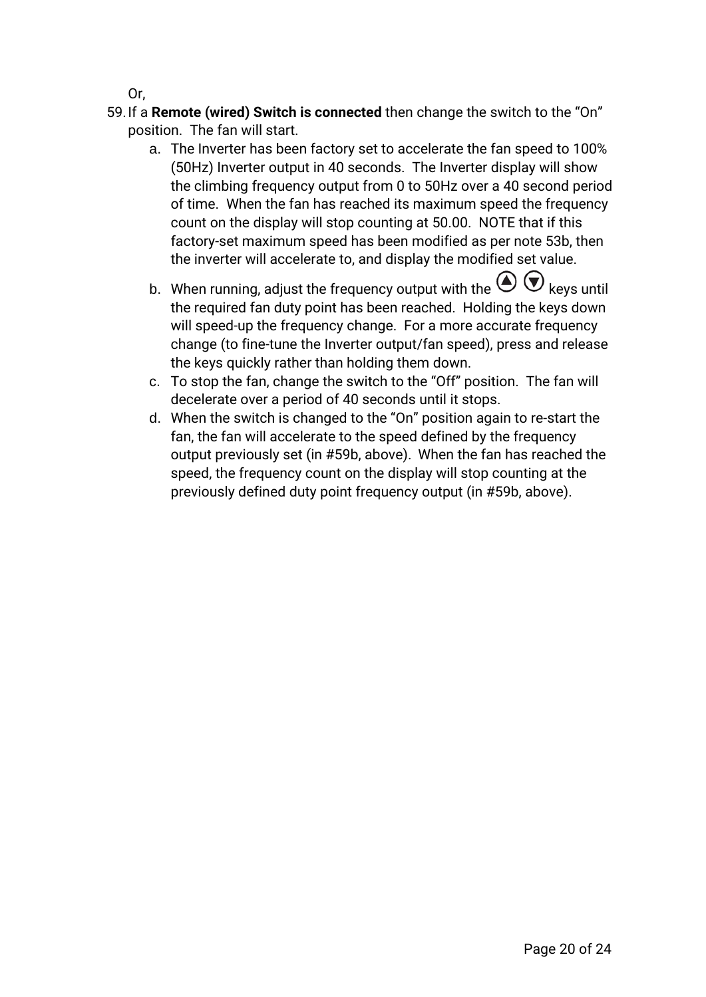Or,

- 59.If a **Remote (wired) Switch is connected** then change the switch to the "On" position. The fan will start.
	- a. The Inverter has been factory set to accelerate the fan speed to 100% (50Hz) Inverter output in 40 seconds. The Inverter display will show the climbing frequency output from 0 to 50Hz over a 40 second period of time. When the fan has reached its maximum speed the frequency count on the display will stop counting at 50.00. NOTE that if this factory-set maximum speed has been modified as per note 53b, then the inverter will accelerate to, and display the modified set value.
	- b. When running, adjust the frequency output with the  $\bigcirc \Phi$  keys until the required fan duty point has been reached. Holding the keys down will speed-up the frequency change. For a more accurate frequency change (to fine-tune the Inverter output/fan speed), press and release the keys quickly rather than holding them down.
	- c. To stop the fan, change the switch to the "Off" position. The fan will decelerate over a period of 40 seconds until it stops.
	- d. When the switch is changed to the "On" position again to re-start the fan, the fan will accelerate to the speed defined by the frequency output previously set (in #59b, above). When the fan has reached the speed, the frequency count on the display will stop counting at the previously defined duty point frequency output (in #59b, above).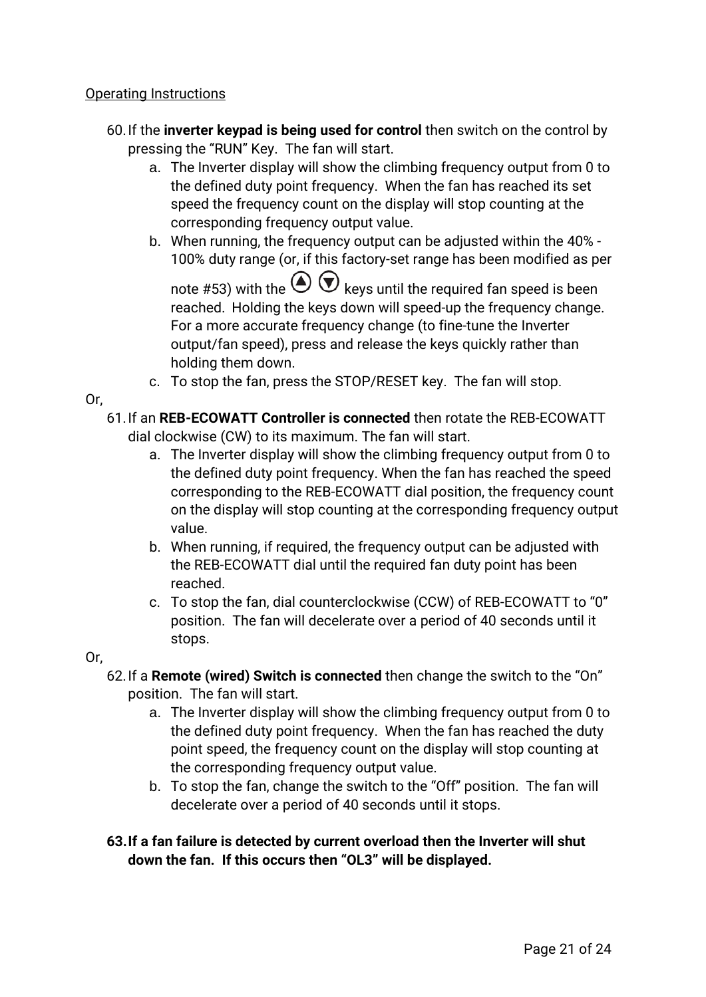## Operating Instructions

- 60.If the **inverter keypad is being used for control** then switch on the control by pressing the "RUN" Key. The fan will start.
	- a. The Inverter display will show the climbing frequency output from 0 to the defined duty point frequency. When the fan has reached its set speed the frequency count on the display will stop counting at the corresponding frequency output value.
	- b. When running, the frequency output can be adjusted within the 40% 100% duty range (or, if this factory-set range has been modified as per note #53) with the  $\bigodot \bigodot$  keys until the required fan speed is been

reached. Holding the keys down will speed-up the frequency change. For a more accurate frequency change (to fine-tune the Inverter output/fan speed), press and release the keys quickly rather than holding them down.

c. To stop the fan, press the STOP/RESET key. The fan will stop.

Or,

- 61.If an **REB-ECOWATT Controller is connected** then rotate the REB-ECOWATT dial clockwise (CW) to its maximum. The fan will start.
	- a. The Inverter display will show the climbing frequency output from 0 to the defined duty point frequency. When the fan has reached the speed corresponding to the REB-ECOWATT dial position, the frequency count on the display will stop counting at the corresponding frequency output value.
	- b. When running, if required, the frequency output can be adjusted with the REB-ECOWATT dial until the required fan duty point has been reached.
	- c. To stop the fan, dial counterclockwise (CCW) of REB-ECOWATT to "0" position. The fan will decelerate over a period of 40 seconds until it stops.

Or,

- 62.If a **Remote (wired) Switch is connected** then change the switch to the "On" position. The fan will start.
	- a. The Inverter display will show the climbing frequency output from 0 to the defined duty point frequency. When the fan has reached the duty point speed, the frequency count on the display will stop counting at the corresponding frequency output value.
	- b. To stop the fan, change the switch to the "Off" position. The fan will decelerate over a period of 40 seconds until it stops.

## **63.If a fan failure is detected by current overload then the Inverter will shut down the fan. If this occurs then "OL3" will be displayed.**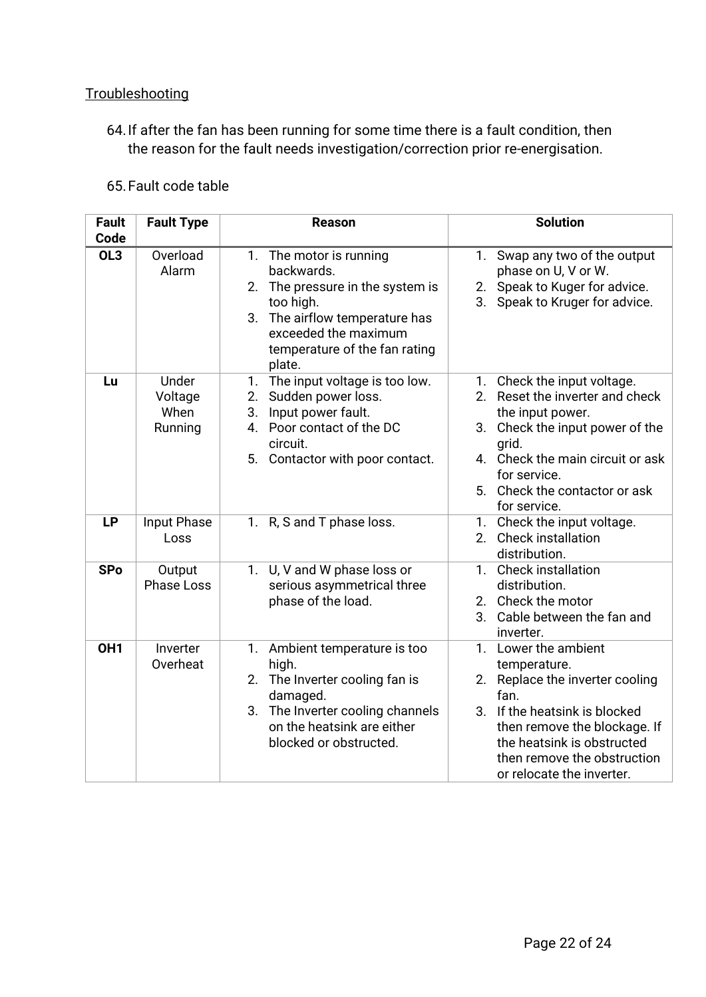## **Troubleshooting**

64.If after the fan has been running for some time there is a fault condition, then the reason for the fault needs investigation/correction prior re-energisation.

#### 65.Fault code table

| <b>Fault</b><br>Code | <b>Fault Type</b>                   | <b>Reason</b>                                                                                                                                                                               | <b>Solution</b>                                                                                                                                                                                                                                     |  |
|----------------------|-------------------------------------|---------------------------------------------------------------------------------------------------------------------------------------------------------------------------------------------|-----------------------------------------------------------------------------------------------------------------------------------------------------------------------------------------------------------------------------------------------------|--|
| $\overline{OL3}$     | Overload<br>Alarm                   | 1. The motor is running<br>backwards.<br>2. The pressure in the system is<br>too high.<br>3. The airflow temperature has<br>exceeded the maximum<br>temperature of the fan rating<br>plate. | Swap any two of the output<br>1.<br>phase on U, V or W.<br>Speak to Kuger for advice.<br>2.<br>Speak to Kruger for advice.<br>3.                                                                                                                    |  |
| Lu                   | Under<br>Voltage<br>When<br>Running | 1. The input voltage is too low.<br>Sudden power loss.<br>2.<br>Input power fault.<br>3.<br>Poor contact of the DC<br>4.<br>circuit.<br>5. Contactor with poor contact.                     | Check the input voltage.<br>1.<br>Reset the inverter and check<br>2.<br>the input power.<br>Check the input power of the<br>3.<br>grid.<br>4. Check the main circuit or ask<br>for service.<br>5. Check the contactor or ask<br>for service.        |  |
| <b>LP</b>            | Input Phase<br>Loss                 | 1. R, S and T phase loss.                                                                                                                                                                   | 1. Check the input voltage.<br>2. Check installation<br>distribution.                                                                                                                                                                               |  |
| <b>SPo</b>           | Output<br><b>Phase Loss</b>         | 1. U, V and W phase loss or<br>serious asymmetrical three<br>phase of the load.                                                                                                             | 1. Check installation<br>distribution.<br>2. Check the motor<br>Cable between the fan and<br>3.<br>inverter.                                                                                                                                        |  |
| OH <sub>1</sub>      | Inverter<br>Overheat                | 1. Ambient temperature is too<br>high.<br>2. The Inverter cooling fan is<br>damaged.<br>3. The Inverter cooling channels<br>on the heatsink are either<br>blocked or obstructed.            | Lower the ambient<br>1.<br>temperature.<br>Replace the inverter cooling<br>2.<br>fan.<br>If the heatsink is blocked<br>3.<br>then remove the blockage. If<br>the heatsink is obstructed<br>then remove the obstruction<br>or relocate the inverter. |  |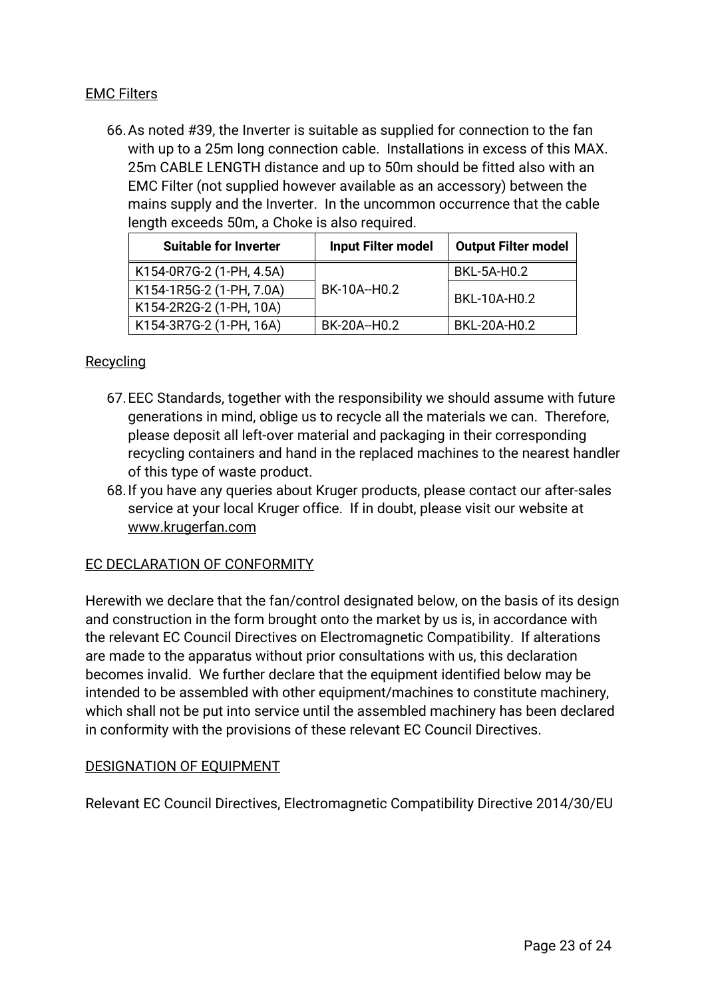### EMC Filters

66.As noted #39, the Inverter is suitable as supplied for connection to the fan with up to a 25m long connection cable. Installations in excess of this MAX. 25m CABLE LENGTH distance and up to 50m should be fitted also with an EMC Filter (not supplied however available as an accessory) between the mains supply and the Inverter. In the uncommon occurrence that the cable length exceeds 50m, a Choke is also required.

| <b>Suitable for Inverter</b> | <b>Input Filter model</b> | <b>Output Filter model</b> |  |
|------------------------------|---------------------------|----------------------------|--|
| K154-0R7G-2 (1-PH, 4.5A)     |                           | BKL-5A-H0.2                |  |
| K154-1R5G-2 (1-PH, 7.0A)     | BK-10A--H0.2              | BKL-10A-H0.2               |  |
| K154-2R2G-2 (1-PH, 10A)      |                           |                            |  |
| K154-3R7G-2 (1-PH, 16A)      | BK-20A--H0.2              | BKL-20A-H0.2               |  |

#### **Recycling**

- 67.EEC Standards, together with the responsibility we should assume with future generations in mind, oblige us to recycle all the materials we can. Therefore, please deposit all left-over material and packaging in their corresponding recycling containers and hand in the replaced machines to the nearest handler of this type of waste product.
- 68.If you have any queries about Kruger products, please contact our after-sales service at your local Kruger office. If in doubt, please visit our website at www.krugerfan.com

#### EC DECLARATION OF CONFORMITY

Herewith we declare that the fan/control designated below, on the basis of its design and construction in the form brought onto the market by us is, in accordance with the relevant EC Council Directives on Electromagnetic Compatibility. If alterations are made to the apparatus without prior consultations with us, this declaration becomes invalid. We further declare that the equipment identified below may be intended to be assembled with other equipment/machines to constitute machinery, which shall not be put into service until the assembled machinery has been declared in conformity with the provisions of these relevant EC Council Directives.

#### DESIGNATION OF EQUIPMENT

Relevant EC Council Directives, Electromagnetic Compatibility Directive 2014/30/EU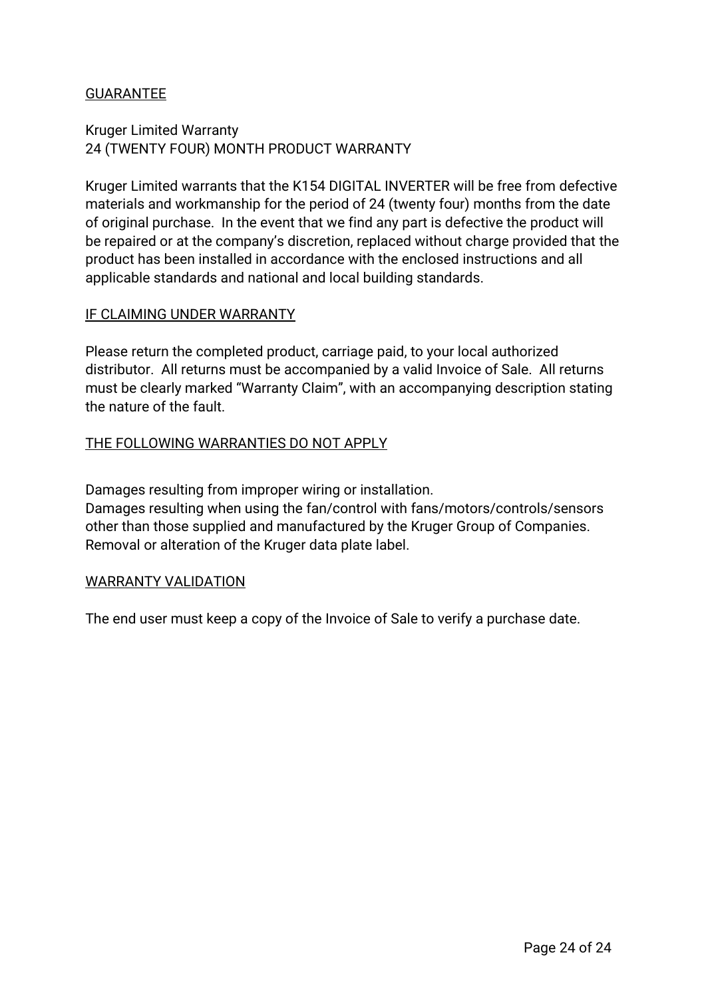## GUARANTEE

### Kruger Limited Warranty 24 (TWENTY FOUR) MONTH PRODUCT WARRANTY

Kruger Limited warrants that the K154 DIGITAL INVERTER will be free from defective materials and workmanship for the period of 24 (twenty four) months from the date of original purchase. In the event that we find any part is defective the product will be repaired or at the company's discretion, replaced without charge provided that the product has been installed in accordance with the enclosed instructions and all applicable standards and national and local building standards.

#### IF CLAIMING UNDER WARRANTY

Please return the completed product, carriage paid, to your local authorized distributor. All returns must be accompanied by a valid Invoice of Sale. All returns must be clearly marked "Warranty Claim", with an accompanying description stating the nature of the fault.

#### THE FOLLOWING WARRANTIES DO NOT APPLY

Damages resulting from improper wiring or installation. Damages resulting when using the fan/control with fans/motors/controls/sensors other than those supplied and manufactured by the Kruger Group of Companies. Removal or alteration of the Kruger data plate label.

#### WARRANTY VALIDATION

The end user must keep a copy of the Invoice of Sale to verify a purchase date.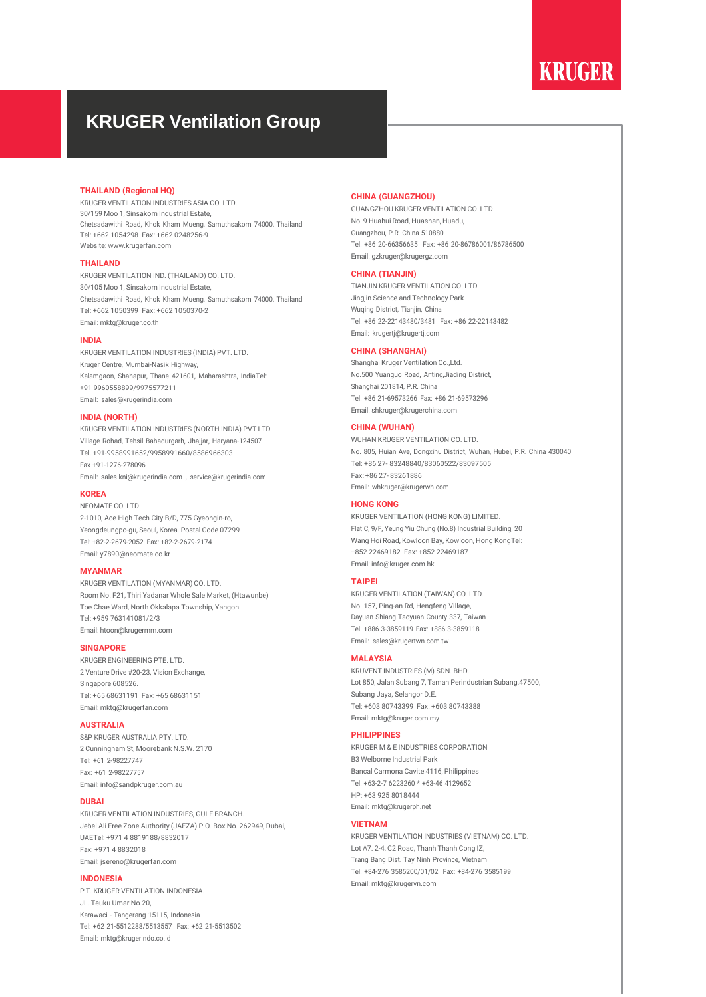## **KRUGER**

## **KRUGER Ventilation Group**

#### **THAILAND (Regional HQ)**

KRUGER VENTILATION INDUSTRIES ASIA CO. LTD. 30/159 Moo 1, Sinsakorn Industrial Estate, Chetsadawithi Road, Khok Kham Mueng, Samuthsakorn 74000, Thailand Tel: +662 1054298 Fax: +662 0248256-9 Website: [www.krugerfan.com](http://www.krugerfan.com/)

#### **THAILAND**

KRUGER VENTILATION IND. (THAILAND) CO. LTD. 30/105 Moo 1, Sinsakorn Industrial Estate, Chetsadawithi Road, Khok Kham Mueng, Samuthsakorn 74000, Thailand Tel: +662 1050399 Fax: +662 1050370-2 Email: [mktg@kruger.co.th](mailto:mktg@kruger.co.th)

#### **INDIA**

KRUGER VENTILATION INDUSTRIES (INDIA) PVT. LTD. Kruger Centre, Mumbai-Nasik Highway, Kalamgaon, Shahapur, Thane 421601, Maharashtra, IndiaTel: +91 9960558899/9975577211 Email: [sales@krugerindia.com](mailto:sales@krugerindia.com)

#### **INDIA (NORTH)**

KRUGER VENTILATION INDUSTRIES (NORTH INDIA) PVT LTD Village Rohad, Tehsil Bahadurgarh, Jhajjar, Haryana-124507 Tel. +91-9958991652/9958991660/8586966303 Fax +91-1276-278096 Email: [sales.kni@krugerindia.com](mailto:sales.kni@krugerindia.com) , [ser](mailto:service@krugerindia.com)[vice@krugerindia.com](mailto:vice@krugerindia.com)

#### **KOREA**

NEOMATE CO. LTD.

2-1010, Ace High Tech City B/D, 775 Gyeongin-ro, Yeongdeungpo-gu, Seoul, Korea. Postal Code 07299 Tel: +82-2-2679-2052 Fax: +82-2-2679-2174 Email: [y7890@neomate.co.kr](mailto:y7890@neomate.co.kr)

#### **MYANMAR**

KRUGER VENTILATION (MYANMAR) CO. LTD. Room No. F21, Thiri Yadanar Whole Sale Market, (Htawunbe) Toe Chae Ward, North Okkalapa Township, Yangon. Tel: +959 763141081/2/3 Email: [ht](mailto:htoon@krugermm.com)[oon@krugermm.com](mailto:oon@krugermm.com)

#### **SINGAPORE**

KRUGER ENGINEERING PTE. LTD. 2 Venture Drive #20-23, Vision Exchange, Singapore 608526 Tel: +65 68631191 Fax: +65 68631151 Email: [mktg@krugerfan.com](mailto:mktg@krugerfan.com)

#### **AUSTRALIA**

S&P KRUGER AUSTRALIA PTY LTD. 2 Cunningham St, Moorebank N.S.W. 2170 Tel: +61 2-98227747 Fax: +61 2-98227757 Email: [info@sandpkruger.com.au](mailto:info@sandpkruger.com.au)

#### **DUBAI**

KRUGER VENTILATION INDUSTRIES, GULF BRANCH. Jebel Ali Free Zone Authority (JAFZA) P.O. Box No. 262949, Dubai, UAETel: +971 4 8819188/8832017 Fax: +971 4 8832018 Email: jsereno@krugerfan.com

#### **INDONESIA**

P.T. KRUGER VENTILATION INDONESIA. JL. Teuku Umar No.20, Karawaci - Tangerang 15115, Indonesia Tel: +62 21-5512288/5513557 Fax: +62 21-5513502 Email: [mktg@krugerindo.co.id](mailto:mktg@krugerindo.co.id)

#### **CHINA (GUANGZHOU)**

GUANGZHOU KRUGER VENTILATION CO. LTD. No. 9 Huahui Road, Huashan, Huadu, Guangzhou, P.R. China 510880 Tel: +86 20-66356635 Fax: +86 20-86786001/86786500 Email: [gzkruger@krugergz.com](mailto:gzkruger@krugergz.com)

#### **CHINA (TIANJIN)**

TIANJIN KRUGER VENTILATION CO. LTD. Jingjin Science and Technology Park Wuqing District, Tianjin, China Tel: +86 22-22143480/3481 Fax: +86 22-22143482 Email: [krugertj@krugertj.com](mailto:krugertj@krugertj.com)

#### **CHINA (SHANGHAI)**

Shanghai Kruger Ventilation Co.,Ltd. No.500 Yuanguo Road, Anting,Jiading District, Shanghai 201814, P.R. China Tel: +86 21-69573266 Fax: +86 21-69573296 Email: [shkruger@krugerchina.com](mailto:shkruger@krugerchina.com)

#### **CHINA (WUHAN)**

WUHAN KRUGER VENTILATION CO. LTD. No. 805, Huian Ave, Dongxihu District, Wuhan, Hubei, P.R. China 430040 Tel: +86 27- 83248840/83060522/83097505 Fax: +86 27- 83261886 Email: [whkruger@krugerwh.com](mailto:whkruger@krugerwh.com)

#### **HONG KONG**

KRUGER VENTILATION (HONG KONG) LIMITED. Flat C, 9/F, Yeung Yiu Chung (No.8) Industrial Building, 20 Wang Hoi Road, Kowloon Bay, Kowloon, Hong KongTel: +852 22469182 Fax: +852 22469187 Email: [info@kruger.com.hk](mailto:info@kruger.com.hk)

#### **TAIPEI**

KRUGER VENTILATION (TAIWAN) CO. LTD. No. 157, Ping-an Rd, Hengfeng Village, Dayuan Shiang Taoyuan County 337, Taiwan Tel: +886 3-3859119 Fax: +886 3-3859118 Email: [sales@krugertwn.com.tw](mailto:sales@krugertwn.com.tw)

#### **MALAYSIA**

KRUVENT INDUSTRIES (M) SDN. BHD. Lot 850, Jalan Subang 7, Taman Perindustrian Subang,47500, Subang Jaya, Selangor D.E. Tel: +603 80743399 Fax: +603 80743388 Email: [mktg@kruger.com.my](mailto:mktg@kruger.com.my)

#### **PHILIPPINES**

KRUGER M & E INDUSTRIES CORPORATION B3 Welborne Industrial Park Bancal Carmona Cavite 4116, Philippines Tel: +63-2-7 6223260 \* +63-46 4129652 HP: +63 925 8018444 Email: [mktg@krugerph.net](mailto:mktg@krugerph.net)

#### **VIETNAM**

KRUGER VENTILATION INDUSTRIES (VIETNAM) CO. LTD. Lot A7. 2-4, C2 Road, Thanh Thanh Cong IZ, Trang Bang Dist. Tay Ninh Province, Vietnam Tel: +84-276 3585200/01/02 Fax: +84-276 3585199 Email: [mktg@krugervn.com](mailto:mktg@krugervn.com)